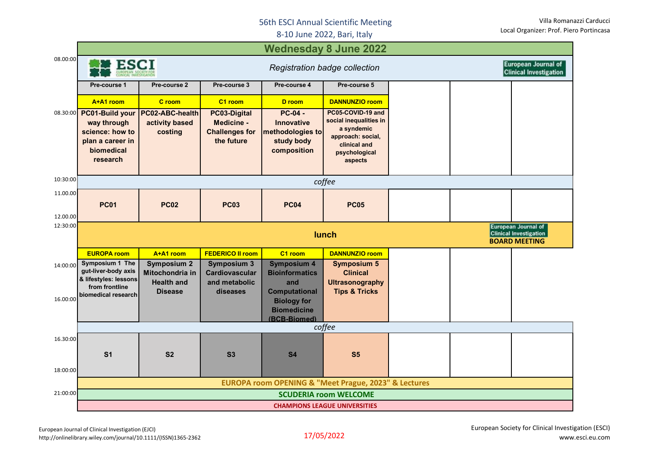## 56th ESCI Annual Scientific Meeting

8-10 June 2022, Bari, Italy

| <b>Wednesday 8 June 2022</b> |                                                                                                 |                                                                                              |                                                                   |                                                                          |                                                                                                                            |  |  |                                                             |  |  |  |  |
|------------------------------|-------------------------------------------------------------------------------------------------|----------------------------------------------------------------------------------------------|-------------------------------------------------------------------|--------------------------------------------------------------------------|----------------------------------------------------------------------------------------------------------------------------|--|--|-------------------------------------------------------------|--|--|--|--|
| 08.00:00                     | <b>ESCI</b><br>Registration badge collection                                                    |                                                                                              |                                                                   |                                                                          |                                                                                                                            |  |  | <b>European Journal of</b><br><b>Clinical Investigation</b> |  |  |  |  |
|                              | Pre-course 1                                                                                    | Pre-course 2                                                                                 | Pre-course 3                                                      | Pre-course 4                                                             | Pre-course 5                                                                                                               |  |  |                                                             |  |  |  |  |
|                              | A+A1 room                                                                                       | C room                                                                                       | C1 room                                                           | D room                                                                   | <b>DANNUNZIO room</b>                                                                                                      |  |  |                                                             |  |  |  |  |
| 08.30:00                     | PC01-Build your<br>way through<br>science: how to<br>plan a career in<br>biomedical<br>research | PC02-ABC-health<br>activity based<br>costing                                                 | PC03-Digital<br>Medicine -<br><b>Challenges for</b><br>the future | $PC-04 -$<br>Innovative<br>methodologies to<br>study body<br>composition | PC05-COVID-19 and<br>social inequalities in<br>a syndemic<br>approach: social,<br>clinical and<br>psychological<br>aspects |  |  |                                                             |  |  |  |  |
| 10:30:00                     | coffee                                                                                          |                                                                                              |                                                                   |                                                                          |                                                                                                                            |  |  |                                                             |  |  |  |  |
| 11.00.00<br>12.00.00         | <b>PC01</b>                                                                                     | <b>PC02</b>                                                                                  | <b>PC03</b>                                                       | <b>PC04</b>                                                              | <b>PC05</b>                                                                                                                |  |  |                                                             |  |  |  |  |
| 12:30:00                     |                                                                                                 | <b>European Journal of</b><br><b>Clinical Investigation</b><br>lunch<br><b>BOARD MEETING</b> |                                                                   |                                                                          |                                                                                                                            |  |  |                                                             |  |  |  |  |
|                              | <b>EUROPA room</b>                                                                              | A+A1 room                                                                                    | <b>FEDERICO II room</b>                                           | C1 room                                                                  | <b>DANNUNZIO room</b>                                                                                                      |  |  |                                                             |  |  |  |  |
| 14:00:00                     | Symposium 1 The<br>gut-liver-body axis<br>& lifestyles: lessons<br>from frontline               | <b>Symposium 2</b><br>Mitochondria in<br><b>Health and</b>                                   | <b>Symposium 3</b><br>Cardiovascular<br>and metabolic             | <b>Symposium 4</b><br><b>Bioinformatics</b><br>and                       | <b>Symposium 5</b><br><b>Clinical</b>                                                                                      |  |  |                                                             |  |  |  |  |
| 16.00:00                     | biomedical research                                                                             | <b>Disease</b>                                                                               | diseases                                                          | <b>Computational</b><br><b>Biology for</b><br><b>Biomedicine</b>         | <b>Ultrasonography</b><br><b>Tips &amp; Tricks</b>                                                                         |  |  |                                                             |  |  |  |  |
|                              |                                                                                                 |                                                                                              |                                                                   | (BCB-Biomed)                                                             |                                                                                                                            |  |  |                                                             |  |  |  |  |
| 16.30:00<br>18:00:00         | S <sub>1</sub>                                                                                  | S <sub>2</sub>                                                                               | S3                                                                | coffee<br><b>S4</b>                                                      | S <sub>5</sub>                                                                                                             |  |  |                                                             |  |  |  |  |
|                              |                                                                                                 |                                                                                              |                                                                   |                                                                          | <b>EUROPA room OPENING &amp; "Meet Prague, 2023" &amp; Lectures</b>                                                        |  |  |                                                             |  |  |  |  |
| 21:00:00                     |                                                                                                 |                                                                                              |                                                                   |                                                                          | <b>SCUDERIA room WELCOME</b><br><b>CHAMPIONS LEAGUE UNIVERSITIES</b>                                                       |  |  |                                                             |  |  |  |  |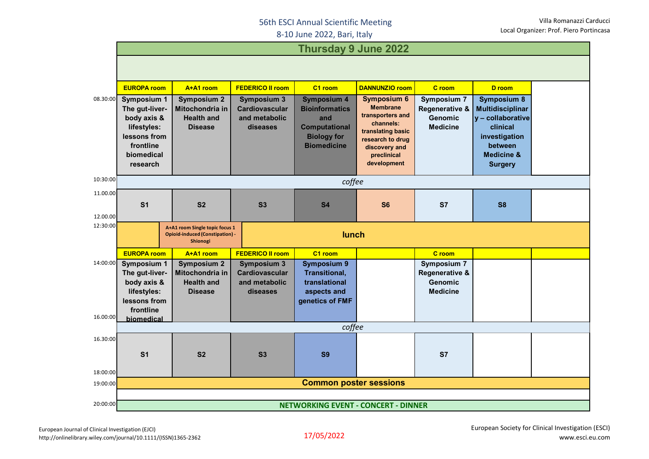## 56th ESCI Annual Scientific Meeting

8-10 June 2022, Bari, Italy

|                      | <b>Thursday 9 June 2022</b>                                                                   |                                      |                                        |                               |                                       |                                  |                                                |  |  |  |
|----------------------|-----------------------------------------------------------------------------------------------|--------------------------------------|----------------------------------------|-------------------------------|---------------------------------------|----------------------------------|------------------------------------------------|--|--|--|
|                      |                                                                                               |                                      |                                        |                               |                                       |                                  |                                                |  |  |  |
|                      |                                                                                               |                                      |                                        |                               |                                       |                                  |                                                |  |  |  |
|                      | <b>EUROPA room</b>                                                                            | A+A1 room                            | <b>FEDERICO II room</b>                | C1 room                       | <b>DANNUNZIO room</b>                 | C room                           | D room                                         |  |  |  |
| 08.30:00             | <b>Symposium 1</b>                                                                            | <b>Symposium 2</b>                   | <b>Symposium 3</b>                     | <b>Symposium 4</b>            | <b>Symposium 6</b><br><b>Membrane</b> | <b>Symposium 7</b>               | <b>Symposium 8</b>                             |  |  |  |
|                      | The gut-liver-<br>body axis &                                                                 | Mitochondria in<br><b>Health and</b> | <b>Cardiovascular</b><br>and metabolic | <b>Bioinformatics</b><br>and  | transporters and                      | Regenerative &<br><b>Genomic</b> | <b>Multidisciplinar</b><br>$y$ – collaborative |  |  |  |
|                      | lifestyles:                                                                                   | <b>Disease</b>                       | diseases                               | <b>Computational</b>          | channels:                             | <b>Medicine</b>                  | clinical                                       |  |  |  |
|                      | lessons from                                                                                  |                                      |                                        | <b>Biology for</b>            | translating basic<br>research to drug |                                  | investigation                                  |  |  |  |
|                      | frontline                                                                                     |                                      |                                        | <b>Biomedicine</b>            | discovery and                         |                                  | between                                        |  |  |  |
|                      | biomedical                                                                                    |                                      |                                        |                               | preclinical                           |                                  | <b>Medicine &amp;</b>                          |  |  |  |
|                      | research                                                                                      |                                      |                                        |                               | development                           |                                  | <b>Surgery</b>                                 |  |  |  |
| 10:30:00             |                                                                                               |                                      |                                        | coffee                        |                                       |                                  |                                                |  |  |  |
| 11.00.00             |                                                                                               |                                      |                                        |                               |                                       |                                  |                                                |  |  |  |
|                      | S <sub>1</sub>                                                                                | S <sub>2</sub>                       | <b>S3</b>                              | <b>S4</b>                     | S <sub>6</sub>                        | <b>S7</b>                        | <b>S8</b>                                      |  |  |  |
| 12.00.00             |                                                                                               |                                      |                                        |                               |                                       |                                  |                                                |  |  |  |
| 12:30:00             | A+A1 room Single topic focus 1<br>lunch<br><b>Opioid-induced (Constipation) -</b><br>Shionogi |                                      |                                        |                               |                                       |                                  |                                                |  |  |  |
|                      | <b>EUROPA room</b>                                                                            | A+A1 room                            | <b>FEDERICO II room</b>                | C1 room                       |                                       | C room                           |                                                |  |  |  |
| 14:00:00             | <b>Symposium 1</b>                                                                            | <b>Symposium 2</b>                   | <b>Symposium 3</b>                     | <b>Symposium 9</b>            |                                       | <b>Symposium 7</b>               |                                                |  |  |  |
|                      | The gut-liver-                                                                                | Mitochondria in                      | <b>Cardiovascular</b>                  | Transitional,                 |                                       | <b>Regenerative &amp;</b>        |                                                |  |  |  |
|                      | body axis &<br>lifestyles:                                                                    | <b>Health and</b><br><b>Disease</b>  | and metabolic<br>diseases              | translational<br>aspects and  |                                       | Genomic<br><b>Medicine</b>       |                                                |  |  |  |
|                      | lessons from                                                                                  |                                      |                                        | genetics of FMF               |                                       |                                  |                                                |  |  |  |
|                      | frontline                                                                                     |                                      |                                        |                               |                                       |                                  |                                                |  |  |  |
| 16.00:00             | biomedical                                                                                    |                                      |                                        |                               |                                       |                                  |                                                |  |  |  |
|                      |                                                                                               |                                      |                                        | coffee                        |                                       |                                  |                                                |  |  |  |
| 16.30:00             |                                                                                               |                                      |                                        |                               |                                       |                                  |                                                |  |  |  |
|                      | S <sub>1</sub>                                                                                | S <sub>2</sub>                       | S3                                     | <b>S9</b>                     |                                       | <b>S7</b>                        |                                                |  |  |  |
|                      |                                                                                               |                                      |                                        |                               |                                       |                                  |                                                |  |  |  |
| 18:00:00<br>19:00:00 |                                                                                               |                                      |                                        | <b>Common poster sessions</b> |                                       |                                  |                                                |  |  |  |
|                      |                                                                                               |                                      |                                        |                               |                                       |                                  |                                                |  |  |  |
| 20:00:00             | <b>NETWORKING EVENT - CONCERT - DINNER</b>                                                    |                                      |                                        |                               |                                       |                                  |                                                |  |  |  |